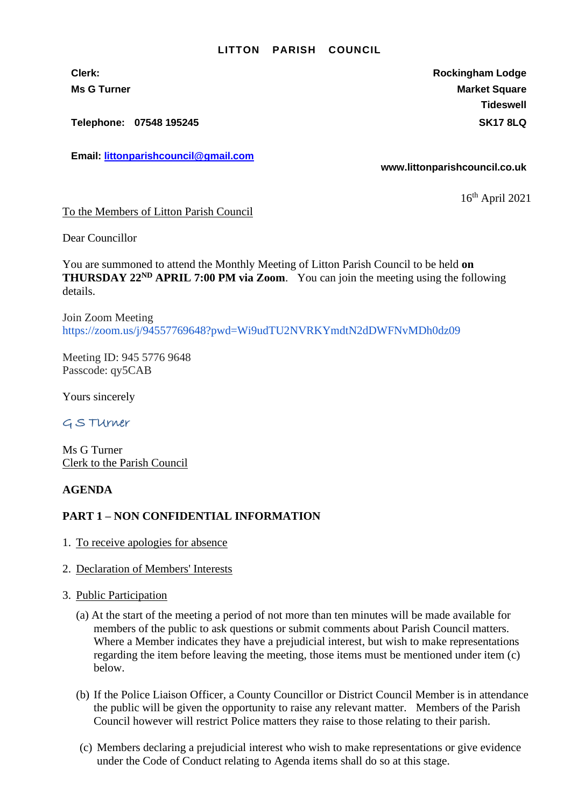#### **LITTON PARISH COUNCIL**

**Clerk: Rockingham Lodge Ms G Turner Market Square** Market Square Market Square Market Square **Tideswell**

**Telephone: 07548 195245 SK17 8LQ**

**Email: [littonparishcouncil@gmail.com](mailto:littonparishcouncil@gmail.com)**

#### **www.littonparishcouncil.co.uk**

16 th April 2021

To the Members of Litton Parish Council

Dear Councillor

You are summoned to attend the Monthly Meeting of Litton Parish Council to be held **on THURSDAY 22ND APRIL 7:00 PM via Zoom**. You can join the meeting using the following details.

Join Zoom Meeting <https://zoom.us/j/94557769648?pwd=Wi9udTU2NVRKYmdtN2dDWFNvMDh0dz09>

Meeting ID: 945 5776 9648 Passcode: qy5CAB

Yours sincerely

# G S TUrner

Ms G Turner Clerk to the Parish Council

## **AGENDA**

## **PART 1 – NON CONFIDENTIAL INFORMATION**

- 1. To receive apologies for absence
- 2. Declaration of Members' Interests
- 3. Public Participation
	- (a) At the start of the meeting a period of not more than ten minutes will be made available for members of the public to ask questions or submit comments about Parish Council matters. Where a Member indicates they have a prejudicial interest, but wish to make representations regarding the item before leaving the meeting, those items must be mentioned under item (c) below.
	- (b) If the Police Liaison Officer, a County Councillor or District Council Member is in attendance the public will be given the opportunity to raise any relevant matter. Members of the Parish Council however will restrict Police matters they raise to those relating to their parish.
	- (c) Members declaring a prejudicial interest who wish to make representations or give evidence under the Code of Conduct relating to Agenda items shall do so at this stage.